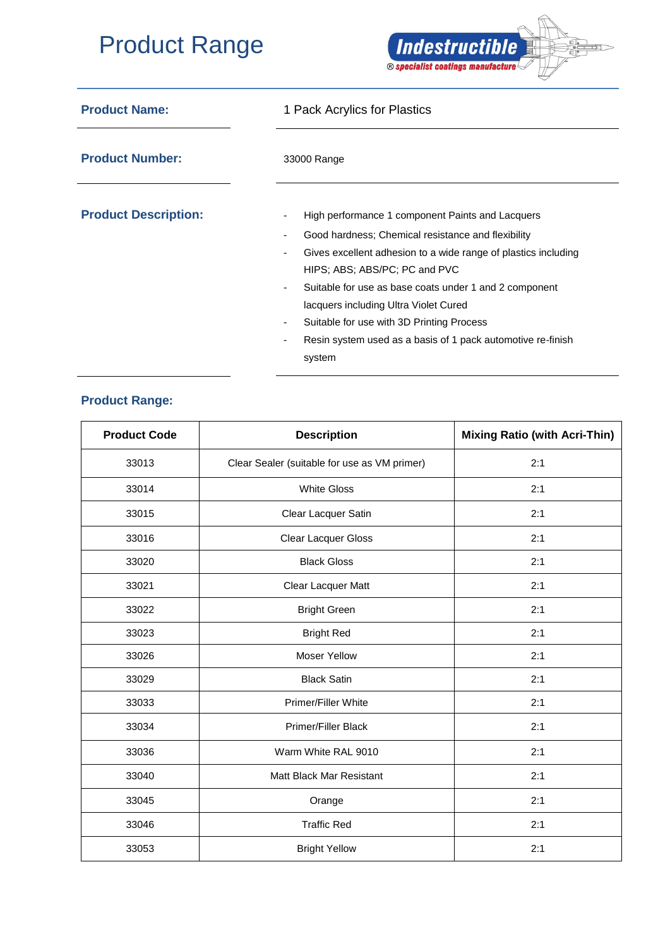## Product Range



| <b>Product Name:</b>        | 1 Pack Acrylics for Plastics                                        |  |  |
|-----------------------------|---------------------------------------------------------------------|--|--|
| <b>Product Number:</b>      | 33000 Range                                                         |  |  |
| <b>Product Description:</b> | High performance 1 component Paints and Lacquers<br>٠               |  |  |
|                             | Good hardness; Chemical resistance and flexibility<br>٠             |  |  |
|                             | Gives excellent adhesion to a wide range of plastics including<br>٠ |  |  |
|                             | HIPS: ABS: ABS/PC: PC and PVC                                       |  |  |
|                             | Suitable for use as base coats under 1 and 2 component<br>٠         |  |  |
|                             | lacquers including Ultra Violet Cured                               |  |  |
|                             | Suitable for use with 3D Printing Process<br>٠                      |  |  |
|                             | Resin system used as a basis of 1 pack automotive re-finish<br>٠    |  |  |
|                             | system                                                              |  |  |

## **Product Range:**

| <b>Product Code</b> | <b>Description</b>                           | <b>Mixing Ratio (with Acri-Thin)</b> |
|---------------------|----------------------------------------------|--------------------------------------|
| 33013               | Clear Sealer (suitable for use as VM primer) | 2:1                                  |
| 33014               | <b>White Gloss</b>                           | 2:1                                  |
| 33015               | Clear Lacquer Satin                          | 2:1                                  |
| 33016               | Clear Lacquer Gloss                          | 2:1                                  |
| 33020               | <b>Black Gloss</b>                           | 2:1                                  |
| 33021               | Clear Lacquer Matt                           | 2:1                                  |
| 33022               | <b>Bright Green</b>                          | 2:1                                  |
| 33023               | <b>Bright Red</b>                            | 2:1                                  |
| 33026               | <b>Moser Yellow</b>                          | 2:1                                  |
| 33029               | <b>Black Satin</b>                           | 2:1                                  |
| 33033               | Primer/Filler White                          | 2:1                                  |
| 33034               | <b>Primer/Filler Black</b>                   | 2:1                                  |
| 33036               | Warm White RAL 9010                          | 2:1                                  |
| 33040               | Matt Black Mar Resistant                     | 2:1                                  |
| 33045               | Orange                                       | 2:1                                  |
| 33046               | <b>Traffic Red</b>                           | 2:1                                  |
| 33053               | <b>Bright Yellow</b>                         | 2:1                                  |